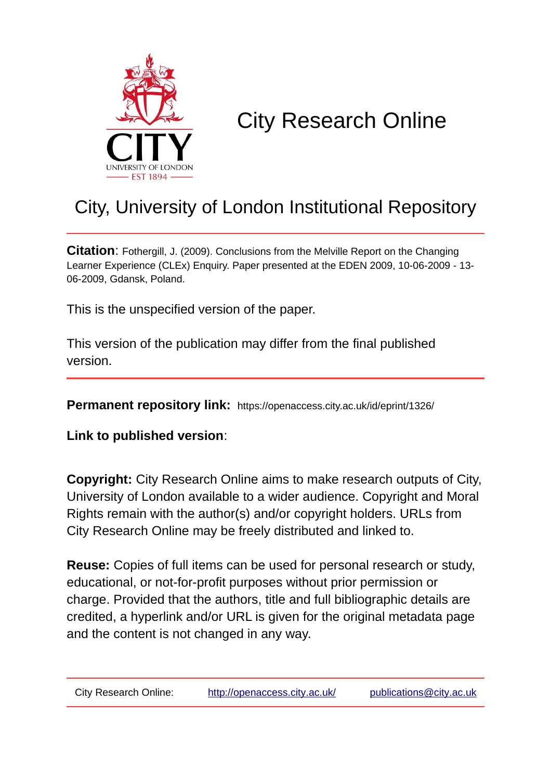

# City Research Online

## City, University of London Institutional Repository

**Citation:** Fothergill, J. (2009). Conclusions from the Melville Report on the Changing Learner Experience (CLEx) Enquiry. Paper presented at the EDEN 2009, 10-06-2009 - 13- 06-2009, Gdansk, Poland.

This is the unspecified version of the paper.

This version of the publication may differ from the final published version.

**Permanent repository link:** https://openaccess.city.ac.uk/id/eprint/1326/

**Link to published version**:

**Copyright:** City Research Online aims to make research outputs of City, University of London available to a wider audience. Copyright and Moral Rights remain with the author(s) and/or copyright holders. URLs from City Research Online may be freely distributed and linked to.

**Reuse:** Copies of full items can be used for personal research or study, educational, or not-for-profit purposes without prior permission or charge. Provided that the authors, title and full bibliographic details are credited, a hyperlink and/or URL is given for the original metadata page and the content is not changed in any way.